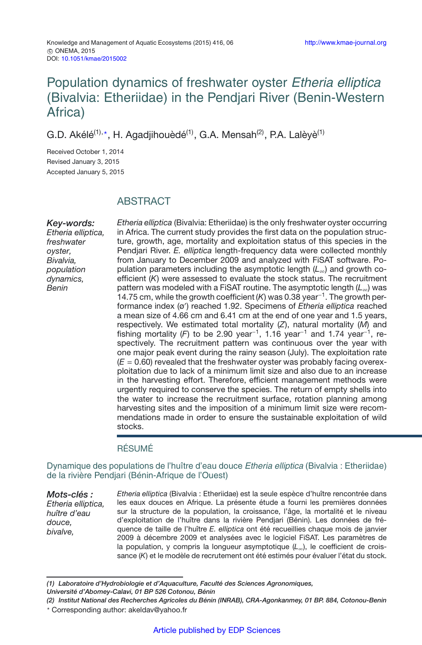# Population dynamics of freshwater oyster Etheria elliptica (Bivalvia: Etheriidae) in the Pendjari River (Benin-Western Africa)

G.D. Akélé<sup>(1),</sup>\*, H. Agadjihouèdé<sup>(1)</sup>, G.A. Mensah<sup>(2)</sup>, P.A. Lalèyè<sup>(1)</sup>

Received October 1, 2014 Revised January 3, 2015 Accepted January 5, 2015

## ABSTRACT

*Key-words: Etheria elliptica, freshwater oyster, Bivalvia, population dynamics, Benin*

*Etheria elliptica* (Bivalvia: Etheriidae) is the only freshwater oyster occurring in Africa. The current study provides the first data on the population structure, growth, age, mortality and exploitation status of this species in the Pendjari River. *E. elliptica* length-frequency data were collected monthly from January to December 2009 and analyzed with FiSAT software. Population parameters including the asymptotic length (*L*∞) and growth coefficient (*K*) were assessed to evaluate the stock status. The recruitment pattern was modeled with a FiSAT routine. The asymptotic length (*L*∞) was 14.75 cm, while the growth coefficient (*K*) was 0.38 year−1. The growth performance index (ø ) reached 1.92. Specimens of *Etheria elliptica* reached a mean size of 4.66 cm and 6.41 cm at the end of one year and 1.5 years, respectively. We estimated total mortality (*Z*), natural mortality (*M*) and fishing mortality (F) to be 2.90 year<sup>-1</sup>, 1.16 year<sup>-1</sup> and 1.74 year<sup>-1</sup>, respectively. The recruitment pattern was continuous over the year with one major peak event during the rainy season (July). The exploitation rate  $(E = 0.60)$  revealed that the freshwater oyster was probably facing overexploitation due to lack of a minimum limit size and also due to an increase in the harvesting effort. Therefore, efficient management methods were urgently required to conserve the species. The return of empty shells into the water to increase the recruitment surface, rotation planning among harvesting sites and the imposition of a minimum limit size were recommendations made in order to ensure the sustainable exploitation of wild stocks.

## RÉSUMÉ

Dynamique des populations de l'huître d'eau douce Etheria elliptica (Bivalvia : Etheriidae) de la rivière Pendjari (Bénin-Afrique de l'Ouest)

*Mots-clés : Etheria elliptica, huître d'eau douce, bivalve, Etheria elliptica* (Bivalvia : Etheriidae) est la seule espèce d'huître rencontrée dans les eaux douces en Afrique. La présente étude a fourni les premières données sur la structure de la population, la croissance, l'âge, la mortalité et le niveau d'exploitation de l'huître dans la rivière Pendjari (Bénin). Les données de fréquence de taille de l'huître *E. elliptica* ont été recueillies chaque mois de janvier 2009 à décembre 2009 et analysées avec le logiciel FiSAT. Les paramètres de la population, y compris la longueur asymptotique (*L*∞), le coefficient de croissance (*K*) et le modèle de recrutement ont été estimés pour évaluer l'état du stock.

*<sup>(1)</sup> Laboratoire d'Hydrobiologie et d'Aquaculture, Faculté des Sciences Agronomiques,*

*Université d'Abomey-Calavi, 01 BP 526 Cotonou, Bénin*

*<sup>(2)</sup> Institut National des Recherches Agricoles du Bénin (INRAB), CRA-Agonkanmey, 01 BP. 884, Cotonou-Benin* - Corresponding author: akeldav@yahoo.fr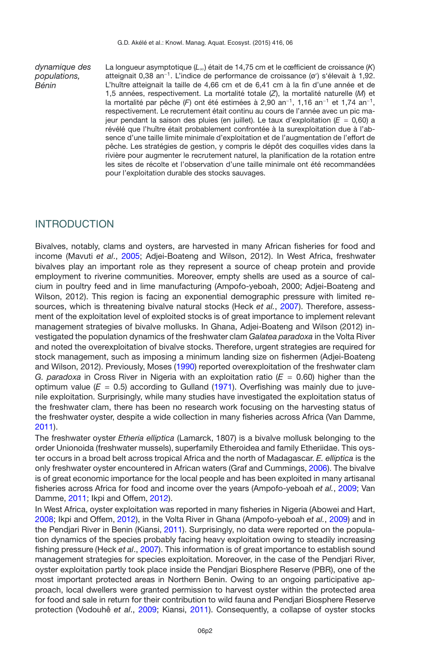*dynamique des populations, Bénin*

La longueur asymptotique (*L*∞) était de 14,75 cm et le cœfficient de croissance (*K*) atteignait 0,38 an−1. L'indice de performance de croissance (ø ) s'élevait à 1,92. L'huître atteignait la taille de 4,66 cm et de 6,41 cm à la fin d'une année et de 1,5 années, respectivement. La mortalité totale (*Z*), la mortalité naturelle (*M*) et la mortalité par pêche (*F*) ont été estimées à 2,90 an−1, 1,16 an−<sup>1</sup> et 1,74 an−1, respectivement. Le recrutement était continu au cours de l'année avec un pic majeur pendant la saison des pluies (en juillet). Le taux d'exploitation (*E* = 0*,*60) a révélé que l'huître était probablement confrontée à la surexploitation due à l'absence d'une taille limite minimale d'exploitation et de l'augmentation de l'effort de pêche. Les stratégies de gestion, y compris le dépôt des coquilles vides dans la rivière pour augmenter le recrutement naturel, la planification de la rotation entre les sites de récolte et l'observation d'une taille minimale ont été recommandées pour l'exploitation durable des stocks sauvages.

## INTRODUCTION

Bivalves, notably, clams and oysters, are harvested in many African fisheries for food and income (Mavuti *et al*., [2005](#page-13-0); Adjei-Boateng and Wilson, 2012). In West Africa, freshwater bivalves play an important role as they represent a source of cheap protein and provide employment to riverine communities. Moreover, empty shells are used as a source of calcium in poultry feed and in lime manufacturing (Ampofo-yeboah, 2000; Adjei-Boateng and Wilson, 2012). This region is facing an exponential demographic pressure with limited resources, which is threatening bivalve natural stocks (Heck *et al.*, [2007](#page-13-1)). Therefore, assessment of the exploitation level of exploited stocks is of great importance to implement relevant management strategies of bivalve mollusks. In Ghana, Adjei-Boateng and Wilson (2012) investigated the population dynamics of the freshwater clam *Galatea paradoxa* in the Volta River and noted the overexploitation of bivalve stocks. Therefore, urgent strategies are required for stock management, such as imposing a minimum landing size on fishermen (Adjei-Boateng and Wilson, 2012). Previously, Moses [\(1990](#page-13-2)) reported overexploitation of the freshwater clam *G. paradoxa* in Cross River in Nigeria with an exploitation ratio (*E* = 0.60) higher than the optimum value ( $E = 0.5$ ) according to Gulland [\(1971\)](#page-13-3). Overfishing was mainly due to juvenile exploitation. Surprisingly, while many studies have investigated the exploitation status of the freshwater clam, there has been no research work focusing on the harvesting status of the freshwater oyster, despite a wide collection in many fisheries across Africa (Van Damme, [2011\)](#page-14-0).

The freshwater oyster *Etheria elliptica* (Lamarck, 1807) is a bivalve mollusk belonging to the order Unionoida (freshwater mussels), superfamily Etheroidea and family Etheriidae. This oyster occurs in a broad belt across tropical Africa and the north of Madagascar. *E. elliptica* is the only freshwater oyster encountered in African waters (Graf and Cummings, [2006\)](#page-13-4). The bivalve is of great economic importance for the local people and has been exploited in many artisanal fisheries across Africa for food and income over the years (Ampofo-yeboah *et al.*, [2009](#page-12-0); Van Damme, [2011;](#page-14-0) Ikpi and Offem, [2012](#page-13-5)).

In West Africa, oyster exploitation was reported in many fisheries in Nigeria (Abowei and Hart, [2008;](#page-12-1) Ikpi and Offem, [2012](#page-13-5)), in the Volta River in Ghana (Ampofo-yeboah *et al.*, [2009](#page-12-0)) and in the Pendjari River in Benin (Kiansi, [2011\)](#page-13-6). Surprisingly, no data were reported on the population dynamics of the species probably facing heavy exploitation owing to steadily increasing fishing pressure (Heck *et al*., [2007\)](#page-13-1). This information is of great importance to establish sound management strategies for species exploitation. Moreover, in the case of the Pendjari River, oyster exploitation partly took place inside the Pendjari Biosphere Reserve (PBR), one of the most important protected areas in Northern Benin. Owing to an ongoing participative approach, local dwellers were granted permission to harvest oyster within the protected area for food and sale in return for their contribution to wild fauna and Pendjari Biosphere Reserve protection (Vodouhê *et al*., [2009](#page-14-1); Kiansi, [2011](#page-13-6)). Consequently, a collapse of oyster stocks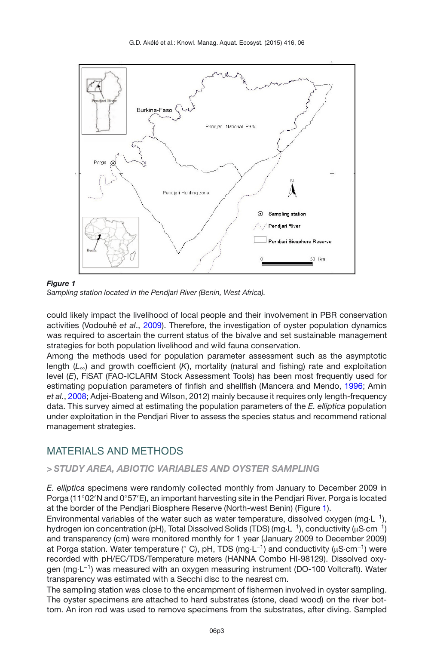<span id="page-2-0"></span>G.D. Akélé et al.: Knowl. Manag. Aquat. Ecosyst. (2015) 416, 06



### *Figure 1*



could likely impact the livelihood of local people and their involvement in PBR conservation activities (Vodouhê *et al*., [2009](#page-14-1)). Therefore, the investigation of oyster population dynamics was required to ascertain the current status of the bivalve and set sustainable management strategies for both population livelihood and wild fauna conservation.

Among the methods used for population parameter assessment such as the asymptotic length (*L*∞) and growth coefficient (*K*), mortality (natural and fishing) rate and exploitation level (*E*), FiSAT (FAO-ICLARM Stock Assessment Tools) has been most frequently used for estimating population parameters of finfish and shellfish (Mancera and Mendo, [1996;](#page-13-7) Amin *et al.*, [2008](#page-12-2); Adjei-Boateng and Wilson, 2012) mainly because it requires only length-frequency data. This survey aimed at estimating the population parameters of the *E. elliptica* population under exploitation in the Pendjari River to assess the species status and recommend rational management strategies.

## MATERIALS AND METHODS

## *> STUDY AREA, ABIOTIC VARIABLES AND OYSTER SAMPLING*

*E. elliptica* specimens were randomly collected monthly from January to December 2009 in Porga (11°02′N and 0°57′E), an important harvesting site in the Pendjari River. Porga is located at the border of the Pendjari Biosphere Reserve (North-west Benin) (Figure [1\)](#page-2-0).

Environmental variables of the water such as water temperature, dissolved oxygen (mg·L−1), hydrogen ion concentration (pH), Total Dissolved Solids (TDS) (mg·L<sup>-1</sup>), conductivity (uS·cm<sup>-1</sup>) and transparency (cm) were monitored monthly for 1 year (January 2009 to December 2009) at Porga station. Water temperature ( $\degree$  C), pH, TDS (mg·L<sup>-1</sup>) and conductivity (μS·cm<sup>-1</sup>) were recorded with pH/EC/TDS/Temperature meters (HANNA Combo HI-98129). Dissolved oxygen (mg·L−1) was measured with an oxygen measuring instrument (DO-100 Voltcraft). Water transparency was estimated with a Secchi disc to the nearest cm.

The sampling station was close to the encampment of fishermen involved in oyster sampling. The oyster specimens are attached to hard substrates (stone, dead wood) on the river bottom. An iron rod was used to remove specimens from the substrates, after diving. Sampled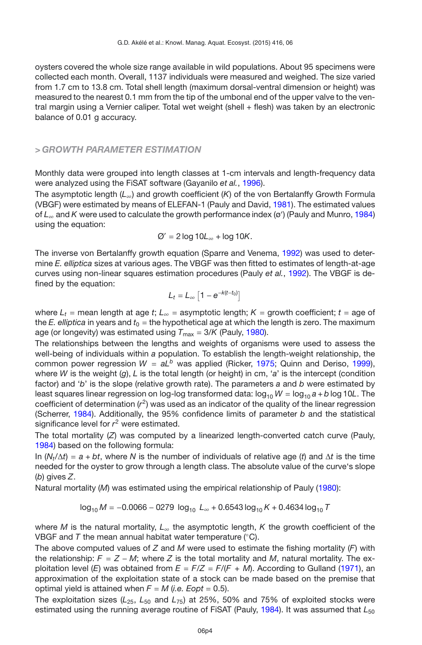oysters covered the whole size range available in wild populations. About 95 specimens were collected each month. Overall, 1137 individuals were measured and weighed. The size varied from 1.7 cm to 13.8 cm. Total shell length (maximum dorsal-ventral dimension or height) was measured to the nearest 0.1 mm from the tip of the umbonal end of the upper valve to the ventral margin using a Vernier caliper. Total wet weight (shell + flesh) was taken by an electronic balance of 0.01 g accuracy.

### *> GROWTH PARAMETER ESTIMATION*

Monthly data were grouped into length classes at 1-cm intervals and length-frequency data were analyzed using the FiSAT software (Gayanilo *et al.*, [1996](#page-12-3)).

The asymptotic length (*L*∞) and growth coefficient (*K*) of the von Bertalanffy Growth Formula (VBGF) were estimated by means of ELEFAN-1 (Pauly and David, [1981](#page-13-8)). The estimated values of *L*<sup>∞</sup> and *K* were used to calculate the growth performance index (ø ) (Pauly and Munro, [1984\)](#page-13-9) using the equation:

$$
\emptyset' = 2 \log 10L_{\infty} + \log 10K.
$$

The inverse von Bertalanffy growth equation (Sparre and Venema, [1992](#page-14-2)) was used to determine *E. elliptica* sizes at various ages. The VBGF was then fitted to estimates of length-at-age curves using non-linear squares estimation procedures (Pauly *et al.*, [1992\)](#page-13-10). The VBGF is defined by the equation:

$$
L_t = L_{\infty} \left[ 1 - e^{-k(t-t_0)} \right]
$$

where  $L_t$  = mean length at age *t*;  $L_\infty$  = asymptotic length;  $K$  = growth coefficient;  $t$  = age of the  $E$ . elliptica in years and  $t_0$  = the hypothetical age at which the length is zero. The maximum age (or longevity) was estimated using  $T_{\text{max}} = 3/K$  (Pauly, [1980\)](#page-13-11).

The relationships between the lengths and weights of organisms were used to assess the well-being of individuals within *a* population. To establish the length-weight relationship, the common power regression  $W = aL^b$  was applied (Ricker, [1975](#page-13-12); Quinn and Deriso, [1999](#page-13-13)), where *W* is the weight (*g*), *L* is the total length (or height) in cm, '*a*' is the intercept (condition factor) and '*b*' is the slope (relative growth rate). The parameters *a* and *b* were estimated by least squares linear regression on log-log transformed data:  $log_{10} W = log_{10} a + b log 10L$ . The coefficient of determination (*r*2) was used as an indicator of the quality of the linear regression (Scherrer, [1984\)](#page-14-3). Additionally, the 95% confidence limits of parameter *b* and the statistical significance level for *r*<sup>2</sup> were estimated.

The total mortality (*Z*) was computed by a linearized length-converted catch curve (Pauly, [1984\)](#page-13-14) based on the following formula:

In  $(N_t/\Delta t) = a + bt$ , where N is the number of individuals of relative age (*t*) and  $\Delta t$  is the time needed for the oyster to grow through a length class. The absolute value of the curve's slope (*b*) gives *Z*.

Natural mortality (*M*) was estimated using the empirical relationship of Pauly [\(1980\)](#page-13-11):

$$
\log_{10} M = -0.0066 - 0279 \log_{10} L_{\infty} + 0.6543 \log_{10} K + 0.4634 \log_{10} T
$$

where *M* is the natural mortality, *L*<sup>∞</sup> the asymptotic length, *K* the growth coefficient of the VBGF and *T* the mean annual habitat water temperature (◦C).

The above computed values of *Z* and *M* were used to estimate the fishing mortality (*F*) with the relationship:  $F = Z - M$ ; where Z is the total mortality and M, natural mortality. The exploitation level (*E*) was obtained from  $E = F/Z = F/(F + M)$ . According to Gulland [\(1971](#page-13-3)), an approximation of the exploitation state of a stock can be made based on the premise that optimal yield is attained when  $F = M$  (*i.e. Eopt* = 0.5).

The exploitation sizes (*L*25, *L*<sup>50</sup> and *L*75) at 25%, 50% and 75% of exploited stocks were estimated using the running average routine of FISAT (Pauly, [1984](#page-13-14)). It was assumed that  $L_{50}$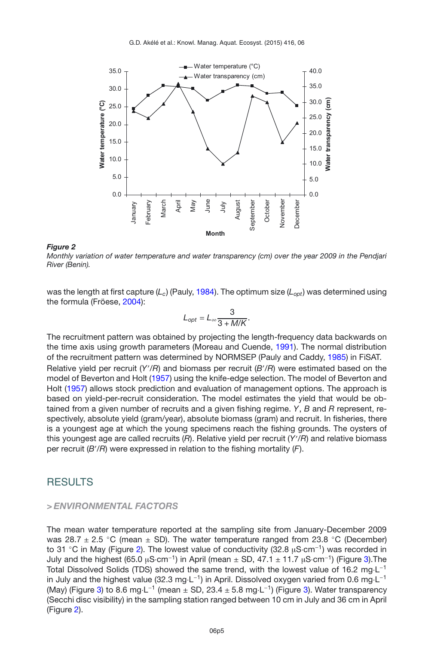<span id="page-4-0"></span>

*Monthly variation of water temperature and water transparency (cm) over the year 2009 in the Pendjari River (Benin).*

was the length at first capture (*Lc*) (Pauly, [1984](#page-13-14)). The optimum size (*Lopt*) was determined using the formula (Fröese, [2004\)](#page-12-4):

$$
L_{opt} = L_{\infty} \frac{3}{3 + M/K}.
$$

The recruitment pattern was obtained by projecting the length-frequency data backwards on the time axis using growth parameters (Moreau and Cuende, [1991](#page-13-15)). The normal distribution of the recruitment pattern was determined by NORMSEP (Pauly and Caddy, [1985](#page-13-16)) in FiSAT. Relative yield per recruit (*Y* /*R*) and biomass per recruit (*B* /*R*) were estimated based on the model of Beverton and Holt [\(1957](#page-12-5)) using the knife-edge selection. The model of Beverton and Holt [\(1957\)](#page-12-5) allows stock prediction and evaluation of management options. The approach is based on yield-per-recruit consideration. The model estimates the yield that would be obtained from a given number of recruits and a given fishing regime. *Y*, *B* and *R* represent, respectively, absolute yield (gram/year), absolute biomass (gram) and recruit. In fisheries, there is a youngest age at which the young specimens reach the fishing grounds. The oysters of this youngest age are called recruits (*R*). Relative yield per recruit (*Y* /*R*) and relative biomass per recruit (*B* /*R*) were expressed in relation to the fishing mortality (*F*).

## **RESULTS**

#### *> ENVIRONMENTAL FACTORS*

The mean water temperature reported at the sampling site from January-December 2009 was 28.7  $\pm$  2.5 °C (mean  $\pm$  SD). The water temperature ranged from 23.8 °C (December) to 31 °C in May (Figure [2\)](#page-4-0). The lowest value of conductivity (32.8 μS·cm<sup>-1</sup>) was recorded in July and the highest (65.0 µS·cm<sup>-1</sup>) in April (mean  $\pm$  SD, 47.1  $\pm$  11.7 µS·cm<sup>-1</sup>) (Figure [3\)](#page-5-0). The Total Dissolved Solids (TDS) showed the same trend, with the lowest value of 16.2 mg⋅L<sup>-1</sup> in July and the highest value (32.3 mg⋅L<sup>-1</sup>) in April. Dissolved oxygen varied from 0.6 mg⋅L<sup>-1</sup> (May) (Figure [3\)](#page-5-0) to 8.6 mg·L<sup>-1</sup> (mean  $\pm$  SD, 23.4  $\pm$  5.8 mg·L<sup>-1</sup>) (Figure 3). Water transparency (Secchi disc visibility) in the sampling station ranged between 10 cm in July and 36 cm in April (Figure [2\)](#page-4-0).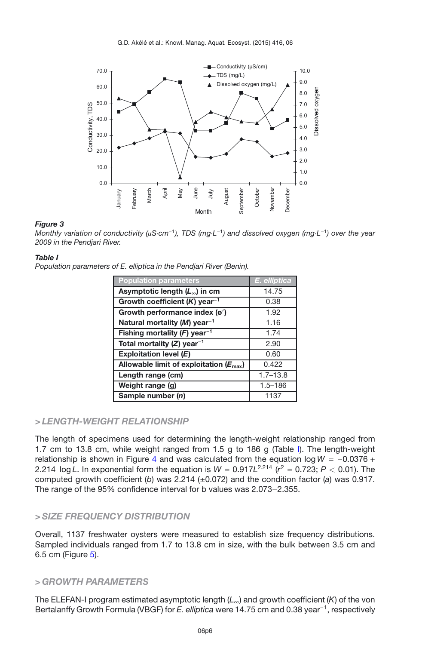<span id="page-5-0"></span>

*Monthly variation of conductivity (*µ*S*·*cm*−<sup>1</sup>*), TDS (mg*·*L*−<sup>1</sup>*) and dissolved oxygen (mg*·*L*−<sup>1</sup>*) over the year 2009 in the Pendjari River.*

#### <span id="page-5-1"></span>*Table I*

*Population parameters of E. elliptica in the Pendjari River (Benin).*

| <b>Population parameters</b>                       | E. elliptica |
|----------------------------------------------------|--------------|
| Asymptotic length $(L_{\infty})$ in cm             | 14.75        |
| Growth coefficient $(K)$ year <sup>-1</sup>        | 0.38         |
| Growth performance index (ø')                      | 1.92         |
| Natural mortality (M) year <sup>-1</sup>           | 1.16         |
| Fishing mortality $(F)$ year <sup>-1</sup>         | 1.74         |
| Total mortality $(Z)$ year <sup>-1</sup>           | 2.90         |
| Exploitation level $(E)$                           | 0.60         |
| Allowable limit of exploitation $(E_{\text{max}})$ | 0.422        |
| Length range (cm)                                  | $1.7 - 13.8$ |
| Weight range (g)                                   | $1.5 - 186$  |
| Sample number (n)                                  | 1137         |

## *> LENGTH-WEIGHT RELATIONSHIP*

The length of specimens used for determining the length-weight relationship ranged from 1.7 cm to 13.8 cm, while weight ranged from 1.5 g to 186 g (Table [I\)](#page-5-1). The length-weight relationship is shown in Figure [4](#page-6-0) and was calculated from the equation  $log W = -0.0376 +$ 2.214  $\log L$ . In exponential form the equation is  $W = 0.917L^{2.214}$  ( $r^2 = 0.723$ ;  $P < 0.01$ ). The computed growth coefficient (*b*) was 2.214 (±0.072) and the condition factor (*a*) was 0.917. The range of the 95% confidence interval for b values was 2.073−2.355.

## *> SIZE FREQUENCY DISTRIBUTION*

Overall, 1137 freshwater oysters were measured to establish size frequency distributions. Sampled individuals ranged from 1.7 to 13.8 cm in size, with the bulk between 3.5 cm and 6.5 cm (Figure [5\)](#page-6-1).

## *> GROWTH PARAMETERS*

The ELEFAN-I program estimated asymptotic length (*L*∞) and growth coefficient (*K*) of the von Bertalanffy Growth Formula (VBGF) for *E. elliptica* were 14.75 cm and 0.38 year−1, respectively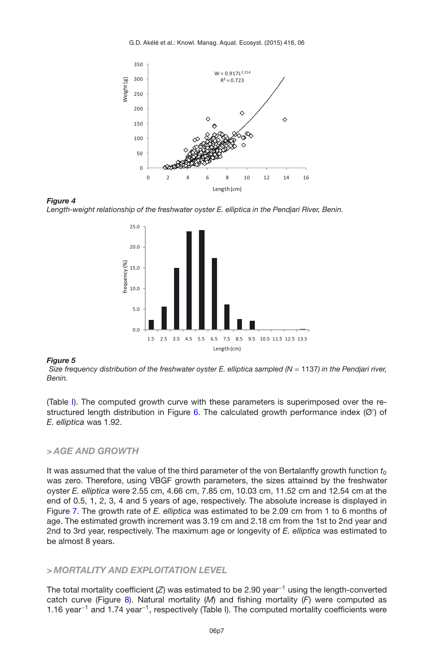<span id="page-6-0"></span>G.D. Akélé et al.: Knowl. Manag. Aquat. Ecosyst. (2015) 416, 06



*Figure 4 Length-weight relationship of the freshwater oyster E. elliptica in the Pendjari River, Benin.*

<span id="page-6-1"></span>

#### *Figure 5*

*Size frequency distribution of the freshwater oyster E. elliptica sampled (N = 1137) in the Pendjari river, Benin.*

(Table [I\)](#page-5-1). The computed growth curve with these parameters is superimposed over the re-structured length distribution in Figure [6.](#page-7-0) The calculated growth performance index (Ø') of *E. elliptica* was 1.92.

### *> AGE AND GROWTH*

It was assumed that the value of the third parameter of the von Bertalanffy growth function  $t_0$ was zero. Therefore, using VBGF growth parameters, the sizes attained by the freshwater oyster *E. elliptica* were 2.55 cm, 4.66 cm, 7.85 cm, 10.03 cm, 11.52 cm and 12.54 cm at the end of 0.5, 1, 2, 3, 4 and 5 years of age, respectively. The absolute increase is displayed in Figure [7.](#page-7-1) The growth rate of *E. elliptica* was estimated to be 2.09 cm from 1 to 6 months of age. The estimated growth increment was 3.19 cm and 2.18 cm from the 1st to 2nd year and 2nd to 3rd year, respectively. The maximum age or longevity of *E. elliptica* was estimated to be almost 8 years.

## *> MORTALITY AND EXPLOITATION LEVEL*

The total mortality coefficient (*Z*) was estimated to be 2.90 year−<sup>1</sup> using the length-converted catch curve (Figure [8\)](#page-7-2). Natural mortality (*M*) and fishing mortality (*F*) were computed as 1.16 year−<sup>1</sup> and 1.74 year−1, respectively (Table [I\)](#page-5-1). The computed mortality coefficients were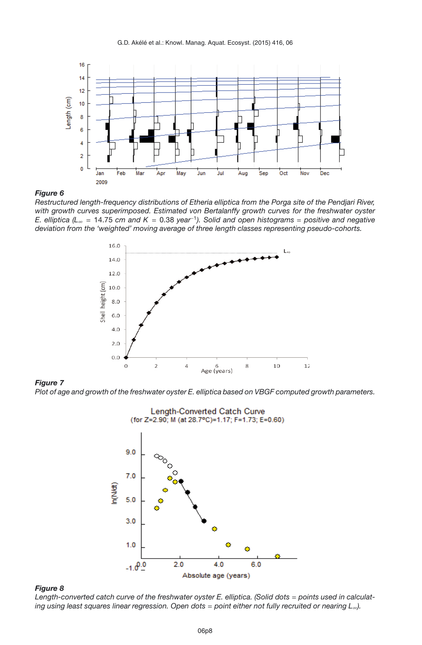<span id="page-7-0"></span>

*Restructured length-frequency distributions of Etheria elliptica from the Porga site of the Pendjari River, with growth curves superimposed. Estimated von Bertalanffy growth curves for the freshwater oyster E. elliptica (L*<sup>∞</sup> = 14.75 *cm and K* = 0.38 *year*−<sup>1</sup>*). Solid and open histograms* = *positive and negative deviation from the 'weighted' moving average of three length classes representing pseudo-cohorts.*

<span id="page-7-1"></span>

*Figure 7 Plot of age and growth of the freshwater oyster E. elliptica based on VBGF computed growth parameters.*

<span id="page-7-2"></span>

*Figure 8*

Length-converted catch curve of the freshwater oyster E. elliptica. (Solid dots = points used in calculat*ing using least squares linear regression. Open dots* = *point either not fully recruited or nearing L*∞*).*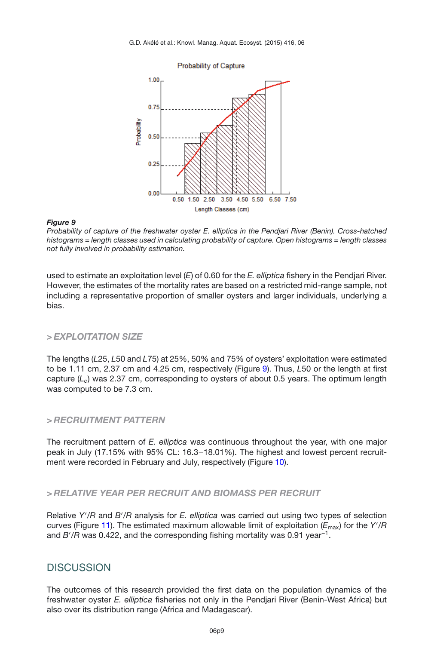<span id="page-8-0"></span>

*Probability of capture of the freshwater oyster E. elliptica in the Pendjari River (Benin). Cross-hatched histograms = length classes used in calculating probability of capture. Open histograms = length classes not fully involved in probability estimation.*

used to estimate an exploitation level (*E*) of 0.60 for the *E. elliptica* fishery in the Pendjari River. However, the estimates of the mortality rates are based on a restricted mid-range sample, not including a representative proportion of smaller oysters and larger individuals, underlying a bias.

## *> EXPLOITATION SIZE*

The lengths (*L*25, *L*50 and *L*75) at 25%, 50% and 75% of oysters' exploitation were estimated to be 1.11 cm, 2.37 cm and 4.25 cm, respectively (Figure [9\)](#page-8-0). Thus, *L*50 or the length at first capture (*Lc*) was 2.37 cm, corresponding to oysters of about 0.5 years. The optimum length was computed to be 7.3 cm.

### *> RECRUITMENT PATTERN*

The recruitment pattern of *E. elliptica* was continuous throughout the year, with one major peak in July (17.15% with 95% CL: 16.3−18.01%). The highest and lowest percent recruit-ment were recorded in February and July, respectively (Figure [10\)](#page-9-0).

## *> RELATIVE YEAR PER RECRUIT AND BIOMASS PER RECRUIT*

Relative *Y'*/R and *B'*/R analysis for *E. elliptica* was carried out using two types of selection curves (Figure [11\)](#page-9-1). The estimated maximum allowable limit of exploitation (*E*max) for the *Y* /*R* and *B* /*R* was 0.422, and the corresponding fishing mortality was 0.91 year−1.

## **DISCUSSION**

The outcomes of this research provided the first data on the population dynamics of the freshwater oyster *E. elliptica* fisheries not only in the Pendjari River (Benin-West Africa) but also over its distribution range (Africa and Madagascar).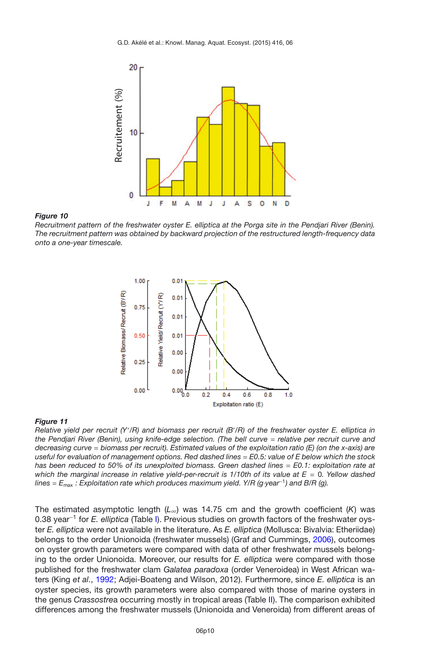<span id="page-9-0"></span>

*Recruitment pattern of the freshwater oyster E. elliptica at the Porga site in the Pendjari River (Benin). The recruitment pattern was obtained by backward projection of the restructured length-frequency data onto a one-year timescale.*

<span id="page-9-1"></span>

#### *Figure 11*

*Relative yield per recruit (Y* /*R) and biomass per recruit (B* /*R) of the freshwater oyster E. elliptica in the Pendjari River (Benin), using knife-edge selection. (The bell curve* = *relative per recruit curve and decreasing curve* = *biomass per recruit). Estimated values of the exploitation ratio (E) (on the x-axis) are useful for evaluation of management options. Red dashed lines* = *E0.5: value of E below which the stock has been reduced to 50% of its unexploited biomass. Green dashed lines* = *E0.1: exploitation rate at which the marginal increase in relative yield-per-recruit is 1/10th of its value at E* = 0*. Yellow dashed lines* = *E*max *: Exploitation rate which produces maximum yield. Y/R (g*·*year*−<sup>1</sup>*) and B/R (g).*

The estimated asymptotic length (*L*∞) was 14.75 cm and the growth coefficient (*K*) was 0.38 year−<sup>1</sup> for *E. elliptica* (Table [I\)](#page-5-1). Previous studies on growth factors of the freshwater oyster *E. elliptica* were not available in the literature. As *E. elliptica* (Mollusca: Bivalvia: Etheriidae) belongs to the order Unionoida (freshwater mussels) (Graf and Cummings, [2006\)](#page-13-4), outcomes on oyster growth parameters were compared with data of other freshwater mussels belonging to the order Unionoida. Moreover, our results for *E. elliptica* were compared with those published for the freshwater clam *Galatea paradoxa* (order Veneroidea) in West African waters (King *et al*., [1992;](#page-13-17) Adjei-Boateng and Wilson, 2012). Furthermore, since *E. elliptica* is an oyster species, its growth parameters were also compared with those of marine oysters in the genus *Crassostre*a occurring mostly in tropical areas (Table [II\)](#page-10-0). The comparison exhibited differences among the freshwater mussels (Unionoida and Veneroida) from different areas of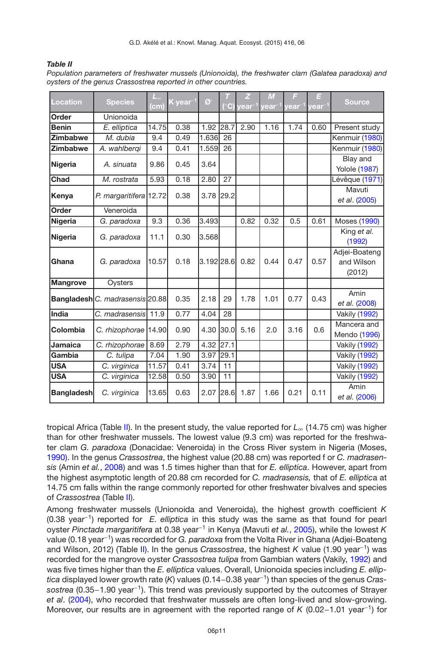#### <span id="page-10-0"></span>*Table II*

| <b>Location</b>   | <b>Species</b>                         | $L_{\infty}$<br>$\mathsf{[cm]}$ | $K$ year <sup>-1</sup> | $\mathcal{O}'$ | (°C) | z<br><b>vear</b> | M<br>$\mathsf{year}^-$ | Ε<br>year $^{\text{-1}}$ | Ξ<br>$year^{-1}$ | <b>Source</b>                         |
|-------------------|----------------------------------------|---------------------------------|------------------------|----------------|------|------------------|------------------------|--------------------------|------------------|---------------------------------------|
| Order             | Unionoida                              |                                 |                        |                |      |                  |                        |                          |                  |                                       |
| <b>Benin</b>      | E. elliptica                           | 14.75                           | 0.38                   | 1.92 28.7      |      | 2.90             | 1.16                   | 1.74                     | 0.60             | Present study                         |
| <b>Zimbabwe</b>   | M. dubia                               | 9.4                             | 0.49                   | 1.636          | 26   |                  |                        |                          |                  | Kenmuir (1980)                        |
| <b>Zimbabwe</b>   | A. wahlbergi                           | 9.4                             | 0.41                   | 1.559          | 26   |                  |                        |                          |                  | Kenmuir (1980)                        |
| <b>Nigeria</b>    | A. sinuata                             | 9.86                            | 0.45                   | 3.64           |      |                  |                        |                          |                  | Blay and<br><b>Yolole (1987)</b>      |
| <b>Chad</b>       | M. rostrata                            | 5.93                            | 0.18                   | 2.80           | 27   |                  |                        |                          |                  | Lévêque (1971)                        |
| Kenya             | P. margaritifera 12.72                 |                                 | 0.38                   | 3.78 29.2      |      |                  |                        |                          |                  | Mavuti<br>et al. (2005)               |
| Order             | Veneroida                              |                                 |                        |                |      |                  |                        |                          |                  |                                       |
| <b>Nigeria</b>    | G. paradoxa                            | 9.3                             | 0.36                   | 3.493          |      | 0.82             | 0.32                   | 0.5                      | 0.61             | Moses (1990)                          |
| Nigeria           | G. paradoxa                            | 11.1                            | 0.30                   | 3.568          |      |                  |                        |                          |                  | King et al.<br>(1992)                 |
| Ghana             | G. paradoxa                            | 10.57                           | 0.18                   | 3.192 28.6     |      | 0.82             | 0.44                   | 0.47                     | 0.57             | Adjei-Boateng<br>and Wilson<br>(2012) |
| <b>Mangrove</b>   | Oysters                                |                                 |                        |                |      |                  |                        |                          |                  |                                       |
|                   | <b>Bangladesh</b> C. madrasensis 20.88 |                                 | 0.35                   | 2.18           | 29   | 1.78             | 1.01                   | 0.77                     | 0.43             | Amin<br>et al. (2008)                 |
| India             | C. madrasensis                         | 11.9                            | 0.77                   | 4.04           | 28   |                  |                        |                          |                  | <b>Vakily (1992)</b>                  |
| Colombia          | C. rhizophorae [14.90]                 |                                 | 0.90                   | 4.30           | 30.0 | 5.16             | 2.0                    | 3.16                     | 0.6              | Mancera and<br>Mendo (1996)           |
| <b>Jamaica</b>    | C. rhizophorae                         | 8.69                            | 2.79                   | 4.32           | 27.1 |                  |                        |                          |                  | Vakily (1992)                         |
| Gambia            | C. tulipa                              | 7.04                            | 1.90                   | 3.97           | 29.1 |                  |                        |                          |                  | <b>Vakily (1992)</b>                  |
| <b>USA</b>        | C. virginica                           | 11.57                           | 0.41                   | 3.74           | 11   |                  |                        |                          |                  | Vakily (1992)                         |
| <b>USA</b>        | C. virginica                           | 12.58                           | 0.50                   | 3.90           | 11   |                  |                        |                          |                  | Vakily (1992)                         |
| <b>Bangladesh</b> | C. virginica                           | 13.65                           | 0.63                   | 2.07           | 28.6 | 1.87             | 1.66                   | 0.21                     | 0.11             | Amin<br>et al. (2006)                 |

*Population parameters of freshwater mussels (Unionoida), the freshwater clam (Galatea paradoxa) and oysters of the genus Crassostrea reported in other countries.*

tropical Africa (Table [II\)](#page-10-0). In the present study, the value reported for *L*<sup>∞</sup> (14.75 cm) was higher than for other freshwater mussels. The lowest value (9.3 cm) was reported for the freshwater clam *G. paradoxa* (Donacidae: Veneroida) in the Cross River system in Nigeria (Moses, [1990\)](#page-13-2). In the genus *Crassostrea*, the highest value (20.88 cm) was reported f or *C. madrasensis* (Amin *et al.*, [2008\)](#page-12-2) and was 1.5 times higher than that for *E. elliptica*. However, apart from the highest asymptotic length of 20.88 cm recorded for *C. madrasensis,* that of *E. elliptic*a at 14.75 cm falls within the range commonly reported for other freshwater bivalves and species of *Crassostrea* (Table [II\)](#page-10-0).

Among freshwater mussels (Unionoida and Veneroida), the highest growth coefficient *K* (0.38 year−1) reported for *E. elliptica* in this study was the same as that found for pearl oyster *Pinctada margaritifera* at 0.38 year−<sup>1</sup> in Kenya (Mavuti *et al.*, [2005\)](#page-13-0), while the lowest *K* value (0.18 year−1) was recorded for *G. paradoxa* from the Volta River in Ghana (Adjei-Boateng and Wilson, 2012) (Table [II\)](#page-10-0). In the genus *Crassostrea*, the highest *K* value (1.90 year−1) was recorded for the mangrove oyster *Crassostrea tulipa* from Gambian waters (Vakily, [1992](#page-14-4)) and was five times higher than the *E. elliptica* values. Overall, Unionoida species including *E. elliptica* displayed lower growth rate (*K*) values (0.14−0.38 year−1) than species of the genus *Crassostrea* (0.35−1.90 year−1). This trend was previously supported by the outcomes of Strayer *et al*. [\(2004](#page-14-5)), who recorded that freshwater mussels are often long-lived and slow-growing. Moreover, our results are in agreement with the reported range of *<sup>K</sup>* (0.02−1.01 year−1) for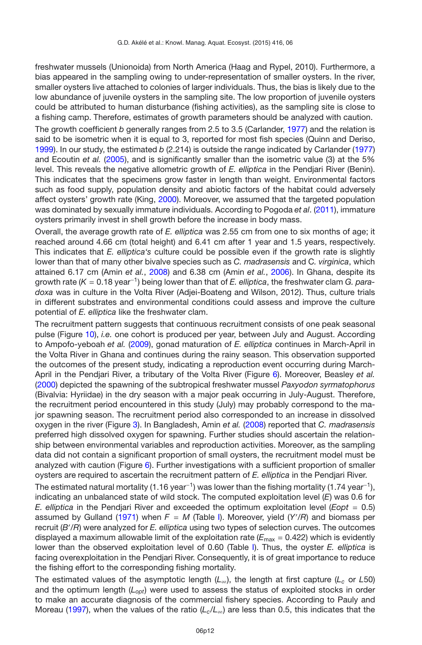freshwater mussels (Unionoida) from North America (Haag and Rypel, 2010). Furthermore, a bias appeared in the sampling owing to under-representation of smaller oysters. In the river, smaller oysters live attached to colonies of larger individuals. Thus, the bias is likely due to the low abundance of juvenile oysters in the sampling site. The low proportion of juvenile oysters could be attributed to human disturbance (fishing activities), as the sampling site is close to a fishing camp. Therefore, estimates of growth parameters should be analyzed with caution.

The growth coefficient *b* generally ranges from 2.5 to 3.5 (Carlander, [1977](#page-12-8)) and the relation is said to be isometric when it is equal to 3, reported for most fish species (Quinn and Deriso, [1999\)](#page-13-13). In our study, the estimated *b* (2.214) is outside the range indicated by Carlander [\(1977\)](#page-12-8) and Ecoutin *et al.* [\(2005](#page-12-9)), and is significantly smaller than the isometric value (3) at the 5% level. This reveals the negative allometric growth of *E. elliptica* in the Pendjari River (Benin). This indicates that the specimens grow faster in length than weight. Environmental factors such as food supply, population density and abiotic factors of the habitat could adversely affect oysters' growth rate (King, [2000\)](#page-13-20). Moreover, we assumed that the targeted population was dominated by sexually immature individuals. According to Pogoda *et al*. [\(2011](#page-13-21)), immature oysters primarily invest in shell growth before the increase in body mass.

Overall, the average growth rate of *E. elliptica* was 2.55 cm from one to six months of age; it reached around 4.66 cm (total height) and 6.41 cm after 1 year and 1.5 years, respectively. This indicates that *E. elliptica's* culture could be possible even if the growth rate is slightly lower than that of many other bivalve species such as *C. madrasensis* and C*. virginica*, which attained 6.17 cm (Amin *et al.*, [2008\)](#page-12-2) and 6.38 cm (Amin *et al.*, [2006](#page-12-7)). In Ghana, despite its growth rate (*K* = 0.18 year−1) being lower than that of *E. elliptica*, the freshwater clam *G. paradoxa* was in culture in the Volta River (Adjei-Boateng and Wilson, 2012). Thus, culture trials in different substrates and environmental conditions could assess and improve the culture potential of *E. elliptica* like the freshwater clam.

The recruitment pattern suggests that continuous recruitment consists of one peak seasonal pulse (Figure [10\)](#page-9-0), *i.e.* one cohort is produced per year, between July and August. According to Ampofo-yeboah *et al.* [\(2009\)](#page-12-0), gonad maturation of *E. elliptica* continues in March-April in the Volta River in Ghana and continues during the rainy season. This observation supported the outcomes of the present study, indicating a reproduction event occurring during March-April in the Pendjari River, a tributary of the Volta River (Figure [6\)](#page-7-0). Moreover, Beasley *et al.* [\(2000](#page-12-10)) depicted the spawning of the subtropical freshwater mussel *Paxyodon syrmatophorus* (Bivalvia: Hyriidae) in the dry season with a major peak occurring in July-August. Therefore, the recruitment period encountered in this study (July) may probably correspond to the major spawning season. The recruitment period also corresponded to an increase in dissolved oxygen in the river (Figure [3\)](#page-5-0). In Bangladesh, Amin *et al.* [\(2008\)](#page-12-2) reported that *C. madrasensis* preferred high dissolved oxygen for spawning. Further studies should ascertain the relationship between environmental variables and reproduction activities. Moreover, as the sampling data did not contain a significant proportion of small oysters, the recruitment model must be analyzed with caution (Figure [6\)](#page-7-0). Further investigations with a sufficient proportion of smaller oysters are required to ascertain the recruitment pattern of *E. elliptica* in the Pendjari River.

The estimated natural mortality (1.16 year<sup>-1</sup>) was lower than the fishing mortality (1.74 year<sup>-1</sup>), indicating an unbalanced state of wild stock. The computed exploitation level (*E*) was 0.6 for *E. elliptica* in the Pendjari River and exceeded the optimum exploitation level (*Eopt* = 0.5) assumed by Gulland [\(1971\)](#page-13-3) when *F* = *M* (Table [I\)](#page-5-1). Moreover, yield (*Y* /*R*) and biomass per recruit (*B* /*R*) were analyzed for *E. elliptica* using two types of selection curves. The outcomes displayed a maximum allowable limit of the exploitation rate  $(E_{\text{max}} = 0.422)$  which is evidently lower than the observed exploitation level of 0.60 (Table [I\)](#page-5-1). Thus, the oyster *E. elliptica* is facing overexploitation in the Pendjari River. Consequently, it is of great importance to reduce the fishing effort to the corresponding fishing mortality.

The estimated values of the asymptotic length ( $L_{\infty}$ ), the length at first capture ( $L_c$  or *L*50) and the optimum length (*Lopt*) were used to assess the status of exploited stocks in order to make an accurate diagnosis of the commercial fishery species. According to Pauly and Moreau [\(1997](#page-13-22)), when the values of the ratio ( $L_c/L_\infty$ ) are less than 0.5, this indicates that the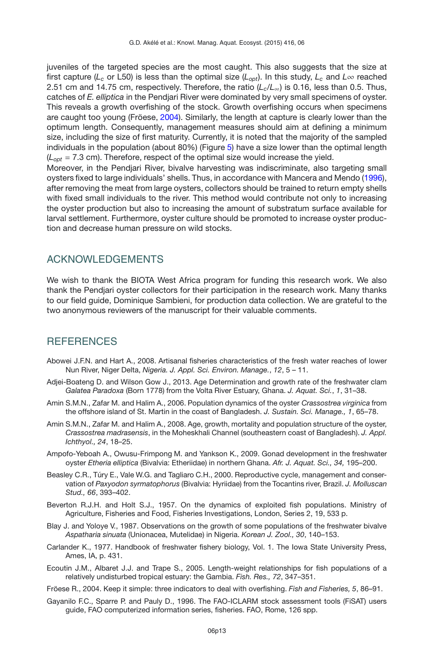juveniles of the targeted species are the most caught. This also suggests that the size at first capture ( $L_c$  or L50) is less than the optimal size ( $L_{\text{out}}$ ). In this study,  $L_c$  and  $L_{\infty}$  reached 2.51 cm and 14.75 cm, respectively. Therefore, the ratio  $(L_c/L_{\infty})$  is 0.16, less than 0.5. Thus, catches of *E. elliptica* in the Pendjari River were dominated by very small specimens of oyster. This reveals a growth overfishing of the stock. Growth overfishing occurs when specimens are caught too young (Fröese, [2004\)](#page-12-4). Similarly, the length at capture is clearly lower than the optimum length. Consequently, management measures should aim at defining a minimum size, including the size of first maturity. Currently, it is noted that the majority of the sampled individuals in the population (about 80%) (Figure [5\)](#page-6-1) have a size lower than the optimal length  $(L_{\text{opt}} = 7.3 \text{ cm})$ . Therefore, respect of the optimal size would increase the yield.

Moreover, in the Pendjari River, bivalve harvesting was indiscriminate, also targeting small oysters fixed to large individuals' shells. Thus, in accordance with Mancera and Mendo [\(1996](#page-13-7)), after removing the meat from large oysters, collectors should be trained to return empty shells with fixed small individuals to the river. This method would contribute not only to increasing the oyster production but also to increasing the amount of substratum surface available for larval settlement. Furthermore, oyster culture should be promoted to increase oyster production and decrease human pressure on wild stocks.

## ACKNOWLEDGEMENTS

We wish to thank the BIOTA West Africa program for funding this research work. We also thank the Pendjari oyster collectors for their participation in the research work. Many thanks to our field guide, Dominique Sambieni, for production data collection. We are grateful to the two anonymous reviewers of the manuscript for their valuable comments.

## **REFERENCES**

- <span id="page-12-1"></span>Abowei J.F.N. and Hart A., 2008. Artisanal fisheries characteristics of the fresh water reaches of lower Nun River, Niger Delta, *Nigeria. J. Appl. Sci. Environ. Manage.*, *12*, 5 – 11.
- Adjei-Boateng D. and Wilson Gow J., 2013. Age Determination and growth rate of the freshwater clam *Galatea Paradoxa* (Born 1778) from the Volta River Estuary, Ghana. *J. Aquat. Sci.*, *1*, 31–38.
- <span id="page-12-7"></span>Amin S.M.N., Zafar M. and Halim A., 2006. Population dynamics of the oyster *Crassostrea virginica* from the offshore island of St. Martin in the coast of Bangladesh. *J. Sustain. Sci. Manage., 1*, 65–78.
- <span id="page-12-2"></span>Amin S.M.N., Zafar M. and Halim A., 2008. Age, growth, mortality and population structure of the oyster, *Crassostrea madrasensis*, in the Moheskhali Channel (southeastern coast of Bangladesh). *J. Appl. Ichthyol., 24*, 18–25.
- <span id="page-12-0"></span>Ampofo-Yeboah A., Owusu-Frimpong M. and Yankson K., 2009. Gonad development in the freshwater oyster *Etheria elliptica* (Bivalvia: Etheriidae) in northern Ghana. *Afr. J. Aquat. Sci., 34,* 195–200.
- <span id="page-12-10"></span>Beasley C.R., Túry E., Vale W.G. and Tagliaro C.H., 2000. Reproductive cycle, management and conservation of *Paxyodon syrmatophorus* (Bivalvia: Hyriidae) from the Tocantins river, Brazil. *J. Molluscan Stud., 66*, 393–402.
- <span id="page-12-5"></span>Beverton R.J.H. and Holt S.J., 1957. On the dynamics of exploited fish populations. Ministry of Agriculture, Fisheries and Food, Fisheries Investigations, London, Series 2, 19, 533 p.
- <span id="page-12-6"></span>Blay J. and Yoloye V., 1987. Observations on the growth of some populations of the freshwater bivalve *Aspatharia sinuata* (Unionacea, Mutelidae) in Nigeria. *Korean J. Zool., 30*, 140–153.
- <span id="page-12-8"></span>Carlander K., 1977. Handbook of freshwater fishery biology, Vol. 1. The Iowa State University Press, Ames, IA, p. 431.
- <span id="page-12-9"></span>Ecoutin J.M., Albaret J.J. and Trape S., 2005. Length-weight relationships for fish populations of a relatively undisturbed tropical estuary: the Gambia. *Fish. Res., 72*, 347–351.
- <span id="page-12-4"></span>Fröese R., 2004. Keep it simple: three indicators to deal with overfishing. *Fish and Fisheries, 5*, 86–91.
- <span id="page-12-3"></span>Gayanilo F.C., Sparre P. and Pauly D., 1996. The FAO-ICLARM stock assessment tools (FiSAT) users guide, FAO computerized information series, fisheries. FAO, Rome, 126 spp.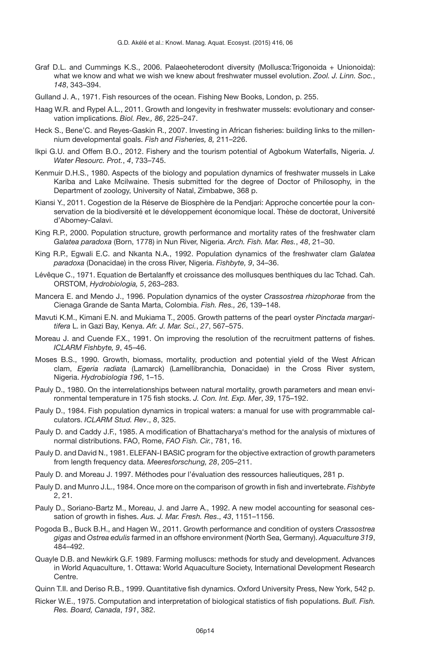- <span id="page-13-4"></span>Graf D.L. and Cummings K.S., 2006. Palaeoheterodont diversity (Mollusca:Trigonoida + Unionoida): what we know and what we wish we knew about freshwater mussel evolution. *Zool. J. Linn. Soc.*, *148*, 343–394.
- <span id="page-13-3"></span>Gulland J. A., 1971. Fish resources of the ocean. Fishing New Books, London, p. 255.
- Haag W.R. and Rypel A.L., 2011. Growth and longevity in freshwater mussels: evolutionary and conservation implications. *Biol. Rev., 86*, 225–247.
- <span id="page-13-1"></span>Heck S., Bene'C. and Reyes-Gaskin R., 2007. Investing in African fisheries: building links to the millennium developmental goals. *Fish and Fisheries, 8,* 211–226.
- <span id="page-13-5"></span>Ikpi G.U. and Offem B.O., 2012. Fishery and the tourism potential of Agbokum Waterfalls, Nigeria. *J. Water Resourc. Prot.*, *4*, 733–745.
- <span id="page-13-18"></span>Kenmuir D.H.S., 1980. Aspects of the biology and population dynamics of freshwater mussels in Lake Kariba and Lake Mcilwaine. Thesis submitted for the degree of Doctor of Philosophy, in the Department of zoology, University of Natal, Zimbabwe, 368 p.
- <span id="page-13-6"></span>Kiansi Y., 2011. Cogestion de la Réserve de Biosphère de la Pendjari: Approche concertée pour la conservation de la biodiversité et le développement économique local. Thèse de doctorat, Université d'Abomey-Calavi.
- <span id="page-13-20"></span>King R.P., 2000. Population structure, growth performance and mortality rates of the freshwater clam *Galatea paradoxa* (Born, 1778) in Nun River, Nigeria. *Arch. Fish. Mar. Res.*, *48*, 21–30.
- <span id="page-13-17"></span>King R.P., Egwali E.C. and Nkanta N.A., 1992. Population dynamics of the freshwater clam *Galatea paradoxa* (Donacidae) in the cross River, Nigeria. *Fishbyte, 9*, 34–36.
- <span id="page-13-19"></span>Lévêque C., 1971. Equation de Bertalanffy et croissance des mollusques benthiques du lac Tchad. Cah. ORSTOM, *Hydrobiologia, 5*, 263–283.
- <span id="page-13-7"></span>Mancera E. and Mendo J., 1996. Population dynamics of the oyster *Crassostrea rhizophorae* from the Cienaga Grande de Santa Marta, Colombia. *Fish. Res., 26*, 139–148.
- <span id="page-13-0"></span>Mavuti K.M., Kimani E.N. and Mukiama T., 2005. Growth patterns of the pearl oyster *Pinctada margaritifera* L. in Gazi Bay, Kenya. *Afr. J. Mar. Sci.*, *27*, 567–575.
- <span id="page-13-15"></span>Moreau J. and Cuende F.X., 1991. On improving the resolution of the recruitment patterns of fishes. *ICLARM Fishbyte, 9*, 45–46.
- <span id="page-13-2"></span>Moses B.S., 1990. Growth, biomass, mortality, production and potential yield of the West African clam, *Egeria radiata* (Lamarck) (Lamellibranchia, Donacidae) in the Cross River system, Nigeria. *Hydrobiologia 196*, 1–15.
- <span id="page-13-11"></span>Pauly D., 1980. On the interrelationships between natural mortality, growth parameters and mean environmental temperature in 175 fish stocks. *J. Con. Int. Exp. Mer*, *39*, 175–192.
- <span id="page-13-14"></span>Pauly D., 1984. Fish population dynamics in tropical waters: a manual for use with programmable calculators. *ICLARM Stud. Rev*., *8*, 325.
- <span id="page-13-16"></span>Pauly D. and Caddy J.F., 1985. A modification of Bhattacharya's method for the analysis of mixtures of normal distributions. FAO, Rome, *FAO Fish. Cir.*, 781, 16.
- <span id="page-13-8"></span>Pauly D. and David N., 1981. ELEFAN-I BASIC program for the objective extraction of growth parameters from length frequency data. *Meeresforschung, 28*, 205–211.
- <span id="page-13-22"></span>Pauly D. and Moreau J. 1997. Méthodes pour l'évaluation des ressources halieutiques, 281 p.
- <span id="page-13-9"></span>Pauly D. and Munro J.L., 1984. Once more on the comparison of growth in fish and invertebrate. *Fishbyte* 2, 21.
- <span id="page-13-10"></span>Pauly D., Soriano-Bartz M., Moreau, J. and Jarre A., 1992. A new model accounting for seasonal cessation of growth in fishes. *Aus. J. Mar. Fresh. Res*., *43*, 1151–1156.
- <span id="page-13-21"></span>Pogoda B., Buck B.H., and Hagen W., 2011. Growth performance and condition of oysters *Crassostrea gigas* and *Ostrea edulis* farmed in an offshore environment (North Sea, Germany). *Aquaculture 319*, 484–492.
- Quayle D.B. and Newkirk G.F. 1989. Farming molluscs: methods for study and development. Advances in World Aquaculture, 1. Ottawa: World Aquaculture Society, International Development Research Centre.
- <span id="page-13-13"></span>Quinn T.II. and Deriso R.B., 1999. Quantitative fish dynamics. Oxford University Press, New York, 542 p.
- <span id="page-13-12"></span>Ricker W.E., 1975. Computation and interpretation of biological statistics of fish populations. *Bull. Fish. Res. Board, Canada*, *191*, 382.